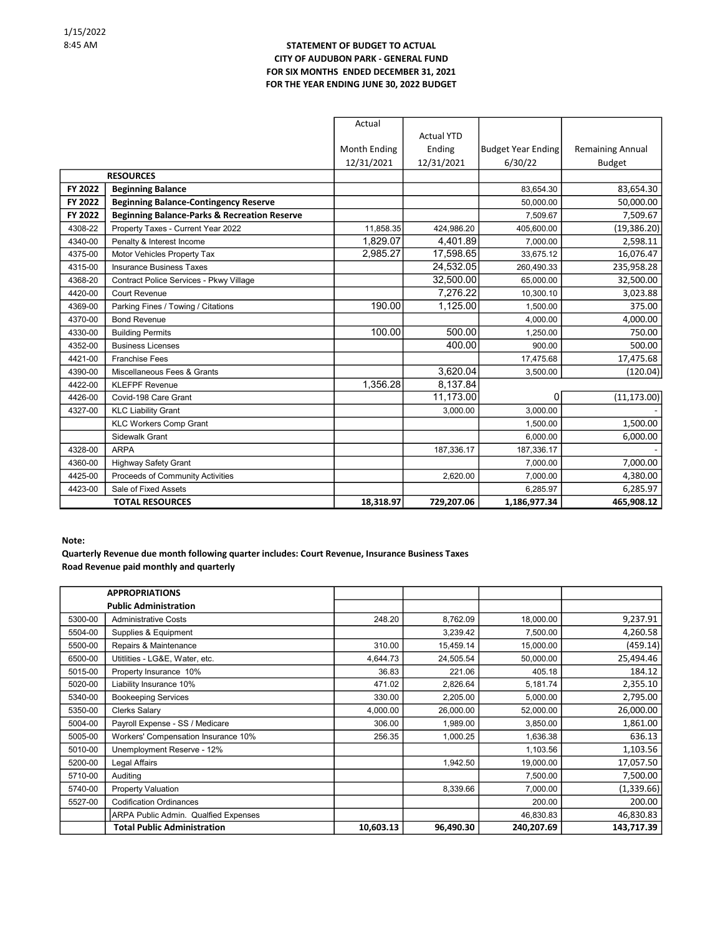#### STATEMENT OF BUDGET TO ACTUAL CITY OF AUDUBON PARK - GENERAL FUND FOR SIX MONTHS ENDED DECEMBER 31, 2021 FOR THE YEAR ENDING JUNE 30, 2022 BUDGET

|         |                                                         | Actual       |                   |                           |                         |
|---------|---------------------------------------------------------|--------------|-------------------|---------------------------|-------------------------|
|         |                                                         |              | <b>Actual YTD</b> |                           |                         |
|         |                                                         | Month Ending | Ending            | <b>Budget Year Ending</b> | <b>Remaining Annual</b> |
|         |                                                         | 12/31/2021   | 12/31/2021        | 6/30/22                   | <b>Budget</b>           |
|         | <b>RESOURCES</b>                                        |              |                   |                           |                         |
| FY 2022 | <b>Beginning Balance</b>                                |              |                   | 83,654.30                 | 83,654.30               |
| FY 2022 | <b>Beginning Balance-Contingency Reserve</b>            |              |                   | 50,000.00                 | 50,000.00               |
| FY 2022 | <b>Beginning Balance-Parks &amp; Recreation Reserve</b> |              |                   | 7,509.67                  | 7,509.67                |
| 4308-22 | Property Taxes - Current Year 2022                      | 11,858.35    | 424,986.20        | 405,600.00                | (19, 386.20)            |
| 4340-00 | Penalty & Interest Income                               | 1,829.07     | 4,401.89          | 7,000.00                  | 2,598.11                |
| 4375-00 | Motor Vehicles Property Tax                             | 2,985.27     | 17,598.65         | 33,675.12                 | 16,076.47               |
| 4315-00 | <b>Insurance Business Taxes</b>                         |              | 24,532.05         | 260,490.33                | 235,958.28              |
| 4368-20 | Contract Police Services - Pkwy Village                 |              | 32,500.00         | 65,000.00                 | 32,500.00               |
| 4420-00 | <b>Court Revenue</b>                                    |              | 7,276.22          | 10,300.10                 | 3,023.88                |
| 4369-00 | Parking Fines / Towing / Citations                      | 190.00       | 1,125.00          | 1,500.00                  | 375.00                  |
| 4370-00 | <b>Bond Revenue</b>                                     |              |                   | 4,000.00                  | 4,000.00                |
| 4330-00 | <b>Building Permits</b>                                 | 100.00       | 500.00            | 1,250.00                  | 750.00                  |
| 4352-00 | <b>Business Licenses</b>                                |              | 400.00            | 900.00                    | 500.00                  |
| 4421-00 | <b>Franchise Fees</b>                                   |              |                   | 17,475.68                 | 17,475.68               |
| 4390-00 | Miscellaneous Fees & Grants                             |              | 3,620.04          | 3,500.00                  | (120.04)                |
| 4422-00 | <b>KLEFPF Revenue</b>                                   | 1,356.28     | 8,137.84          |                           |                         |
| 4426-00 | Covid-198 Care Grant                                    |              | 11,173.00         | 0                         | (11, 173.00)            |
| 4327-00 | <b>KLC Liability Grant</b>                              |              | 3,000.00          | 3,000.00                  |                         |
|         | <b>KLC Workers Comp Grant</b>                           |              |                   | 1,500.00                  | 1,500.00                |
|         | Sidewalk Grant                                          |              |                   | 6,000.00                  | 6,000.00                |
| 4328-00 | <b>ARPA</b>                                             |              | 187,336.17        | 187,336.17                |                         |
| 4360-00 | <b>Highway Safety Grant</b>                             |              |                   | 7,000.00                  | 7,000.00                |
| 4425-00 | Proceeds of Community Activities                        |              | 2,620.00          | 7,000.00                  | 4,380.00                |
| 4423-00 | Sale of Fixed Assets                                    |              |                   | 6,285.97                  | 6,285.97                |
|         | <b>TOTAL RESOURCES</b>                                  | 18,318.97    | 729,207.06        | 1,186,977.34              | 465,908.12              |

#### Note:

### Quarterly Revenue due month following quarter includes: Court Revenue, Insurance Business Taxes Road Revenue paid monthly and quarterly

|         | <b>APPROPRIATIONS</b>                |           |           |            |            |
|---------|--------------------------------------|-----------|-----------|------------|------------|
|         | <b>Public Administration</b>         |           |           |            |            |
| 5300-00 | <b>Administrative Costs</b>          | 248.20    | 8,762.09  | 18,000.00  | 9,237.91   |
| 5504-00 | Supplies & Equipment                 |           | 3,239.42  | 7,500.00   | 4,260.58   |
| 5500-00 | Repairs & Maintenance                | 310.00    | 15,459.14 | 15,000.00  | (459.14)   |
| 6500-00 | Utitlities - LG&E, Water, etc.       | 4,644.73  | 24,505.54 | 50,000.00  | 25,494.46  |
| 5015-00 | Property Insurance 10%               | 36.83     | 221.06    | 405.18     | 184.12     |
| 5020-00 | Liability Insurance 10%              | 471.02    | 2,826.64  | 5,181.74   | 2,355.10   |
| 5340-00 | <b>Bookeeping Services</b>           | 330.00    | 2,205.00  | 5,000.00   | 2,795.00   |
| 5350-00 | <b>Clerks Salary</b>                 | 4,000.00  | 26,000.00 | 52,000.00  | 26,000.00  |
| 5004-00 | Payroll Expense - SS / Medicare      | 306.00    | 1,989.00  | 3,850.00   | 1,861.00   |
| 5005-00 | Workers' Compensation Insurance 10%  | 256.35    | 1,000.25  | 1,636.38   | 636.13     |
| 5010-00 | Unemployment Reserve - 12%           |           |           | 1,103.56   | 1,103.56   |
| 5200-00 | Legal Affairs                        |           | 1,942.50  | 19,000.00  | 17,057.50  |
| 5710-00 | Auditing                             |           |           | 7,500.00   | 7,500.00   |
| 5740-00 | Property Valuation                   |           | 8,339.66  | 7,000.00   | (1,339.66) |
| 5527-00 | <b>Codification Ordinances</b>       |           |           | 200.00     | 200.00     |
|         | ARPA Public Admin. Qualfied Expenses |           |           | 46,830.83  | 46,830.83  |
|         | <b>Total Public Administration</b>   | 10,603.13 | 96,490.30 | 240,207.69 | 143,717.39 |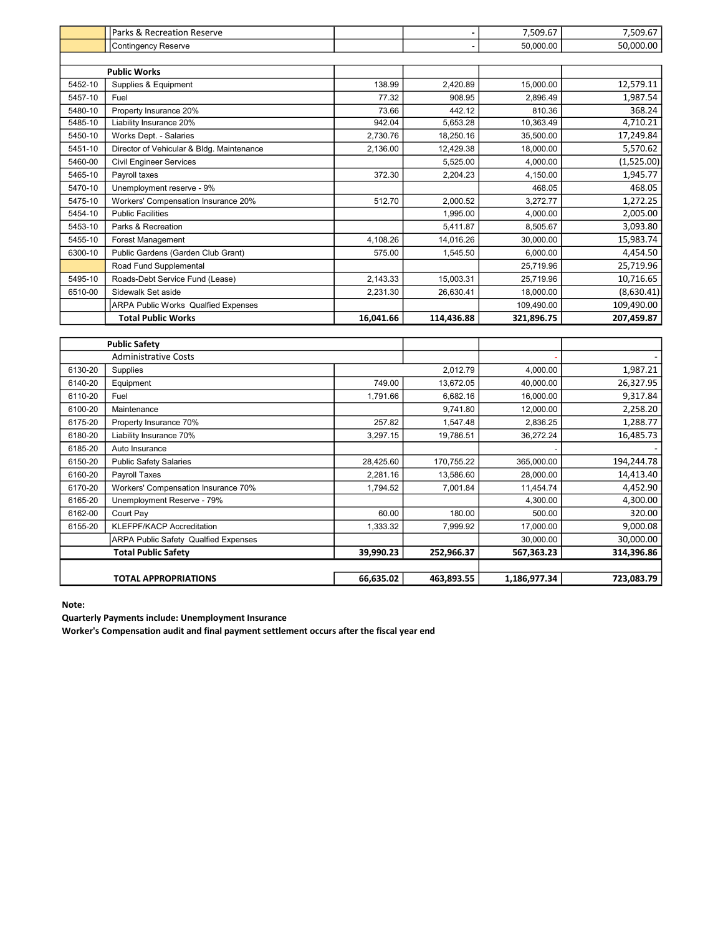|         | <b>Public Safety</b>                                             |           |            |                         |                          |
|---------|------------------------------------------------------------------|-----------|------------|-------------------------|--------------------------|
|         |                                                                  |           |            |                         |                          |
|         | <b>Total Public Works</b>                                        | 16,041.66 | 114,436.88 | 321,896.75              | 207,459.87               |
| 6510-00 | Sidewalk Set aside<br><b>ARPA Public Works Qualfied Expenses</b> | 2,231.30  | 26,630.41  | 18,000.00<br>109,490.00 | (8,630.41)<br>109,490.00 |
| 5495-10 | Roads-Debt Service Fund (Lease)                                  | 2,143.33  | 15,003.31  | 25,719.96               | 10,716.65                |
|         | Road Fund Supplemental                                           |           |            | 25,719.96               | 25,719.96                |
| 6300-10 | Public Gardens (Garden Club Grant)                               | 575.00    | 1,545.50   | 6,000.00                | 4,454.50                 |
| 5455-10 | Forest Management                                                | 4,108.26  | 14,016.26  | 30,000.00               | 15,983.74                |
| 5453-10 | Parks & Recreation                                               |           | 5,411.87   | 8,505.67                | 3,093.80                 |
| 5454-10 | <b>Public Facilities</b>                                         |           | 1,995.00   | 4,000.00                | 2,005.00                 |
| 5475-10 | Workers' Compensation Insurance 20%                              | 512.70    | 2,000.52   | 3,272.77                | 1,272.25                 |
| 5470-10 | Unemployment reserve - 9%                                        |           |            | 468.05                  | 468.05                   |
| 5465-10 | Payroll taxes                                                    | 372.30    | 2.204.23   | 4,150.00                | 1,945.77                 |
| 5460-00 | <b>Civil Engineer Services</b>                                   |           | 5,525.00   | 4,000.00                | (1,525.00)               |
| 5451-10 | Director of Vehicular & Bldg. Maintenance                        | 2,136.00  | 12,429.38  | 18,000.00               | 5,570.62                 |
| 5450-10 | Works Dept. - Salaries                                           | 2,730.76  | 18,250.16  | 35,500.00               | 17,249.84                |
| 5485-10 | Liability Insurance 20%                                          | 942.04    | 5,653.28   | 10,363.49               | 4,710.21                 |
| 5480-10 | Property Insurance 20%                                           | 73.66     | 442.12     | 810.36                  | 368.24                   |
| 5457-10 | Fuel                                                             | 77.32     | 908.95     | 2,896.49                | 1,987.54                 |
| 5452-10 | Supplies & Equipment                                             | 138.99    | 2,420.89   | 15,000.00               | 12,579.11                |
|         | <b>Public Works</b>                                              |           |            |                         |                          |
|         |                                                                  |           |            |                         |                          |
|         | <b>Contingency Reserve</b>                                       |           |            | 50,000.00               | 50,000.00                |
|         | <b>Parks &amp; Recreation Reserve</b>                            |           |            | 7,509.67                | 7,509.67                 |

| <b>Public Safety</b>                     |                                             |           |            |              |            |
|------------------------------------------|---------------------------------------------|-----------|------------|--------------|------------|
| <b>Administrative Costs</b>              |                                             |           |            |              |            |
| 6130-20                                  | <b>Supplies</b>                             |           | 2,012.79   | 4,000.00     | 1,987.21   |
| 6140-20                                  | Equipment                                   | 749.00    | 13,672.05  | 40,000.00    | 26,327.95  |
| 6110-20                                  | Fuel                                        | 1,791.66  | 6,682.16   | 16,000.00    | 9,317.84   |
| 6100-20                                  | Maintenance                                 |           | 9,741.80   | 12,000.00    | 2,258.20   |
| 6175-20                                  | Property Insurance 70%                      | 257.82    | 1,547.48   | 2,836.25     | 1,288.77   |
| 6180-20                                  | Liability Insurance 70%                     | 3,297.15  | 19,786.51  | 36,272.24    | 16,485.73  |
| 6185-20                                  | Auto Insurance                              |           |            |              |            |
| 6150-20                                  | <b>Public Safety Salaries</b>               | 28,425.60 | 170,755.22 | 365,000.00   | 194,244.78 |
| 6160-20                                  | Payroll Taxes                               | 2,281.16  | 13,586.60  | 28,000.00    | 14,413.40  |
| 6170-20                                  | Workers' Compensation Insurance 70%         | 1,794.52  | 7,001.84   | 11,454.74    | 4,452.90   |
| 6165-20                                  | Unemployment Reserve - 79%                  |           |            | 4,300.00     | 4,300.00   |
| 6162-00                                  | Court Pay                                   | 60.00     | 180.00     | 500.00       | 320.00     |
| 6155-20                                  | <b>KLEFPF/KACP Accreditation</b>            | 1,333.32  | 7,999.92   | 17,000.00    | 9,000.08   |
|                                          | <b>ARPA Public Safety Qualfied Expenses</b> |           |            | 30,000.00    | 30,000.00  |
| <b>Total Public Safety</b><br>39,990.23  |                                             |           | 252,966.37 | 567,363.23   | 314,396.86 |
|                                          |                                             |           |            |              |            |
| 66,635.02<br><b>TOTAL APPROPRIATIONS</b> |                                             |           | 463,893.55 | 1,186,977.34 | 723,083.79 |

Note:

Quarterly Payments include: Unemployment Insurance

Worker's Compensation audit and final payment settlement occurs after the fiscal year end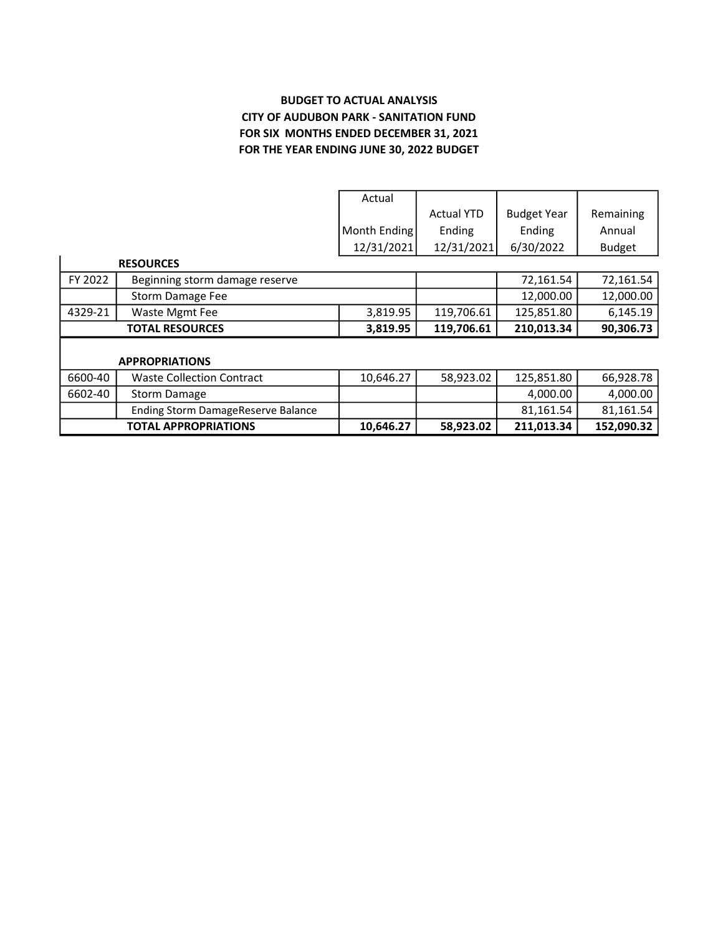# BUDGET TO ACTUAL ANALYSIS CITY OF AUDUBON PARK - SANITATION FUND FOR SIX MONTHS ENDED DECEMBER 31, 2021 FOR THE YEAR ENDING JUNE 30, 2022 BUDGET

|                        |                                    | Actual       |                   |                    |               |  |  |
|------------------------|------------------------------------|--------------|-------------------|--------------------|---------------|--|--|
|                        |                                    |              | <b>Actual YTD</b> | <b>Budget Year</b> | Remaining     |  |  |
|                        |                                    | Month Ending | Ending            | Ending             | Annual        |  |  |
|                        |                                    | 12/31/2021   | 12/31/2021        | 6/30/2022          | <b>Budget</b> |  |  |
|                        | <b>RESOURCES</b>                   |              |                   |                    |               |  |  |
| FY 2022                | Beginning storm damage reserve     |              |                   | 72,161.54          | 72,161.54     |  |  |
|                        | Storm Damage Fee                   |              |                   | 12,000.00          | 12,000.00     |  |  |
| 4329-21                | Waste Mgmt Fee                     | 3,819.95     | 119,706.61        | 125,851.80         | 6,145.19      |  |  |
| <b>TOTAL RESOURCES</b> |                                    | 3,819.95     | 119,706.61        | 210,013.34         | 90,306.73     |  |  |
|                        |                                    |              |                   |                    |               |  |  |
|                        | <b>APPROPRIATIONS</b>              |              |                   |                    |               |  |  |
| 6600-40                | <b>Waste Collection Contract</b>   | 10,646.27    | 58,923.02         | 125,851.80         | 66,928.78     |  |  |
| 6602-40                | <b>Storm Damage</b>                |              |                   | 4,000.00           | 4,000.00      |  |  |
|                        | Ending Storm DamageReserve Balance |              |                   | 81,161.54          | 81,161.54     |  |  |
|                        | <b>TOTAL APPROPRIATIONS</b>        | 10,646.27    | 58,923.02         | 211,013.34         | 152,090.32    |  |  |